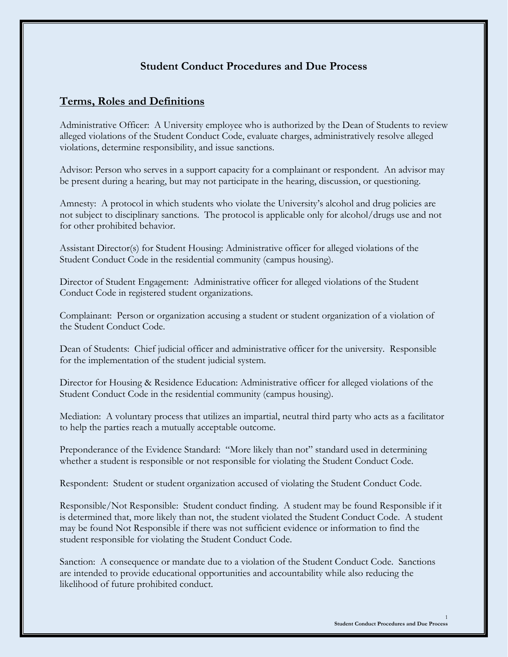# **Student Conduct Procedures and Due Process**

# **Terms, Roles and Definitions**

Administrative Officer: A University employee who is authorized by the Dean of Students to review alleged violations of the Student Conduct Code, evaluate charges, administratively resolve alleged violations, determine responsibility, and issue sanctions.

Advisor: Person who serves in a support capacity for a complainant or respondent. An advisor may be present during a hearing, but may not participate in the hearing, discussion, or questioning.

Amnesty: A protocol in which students who violate the University's alcohol and drug policies are not subject to disciplinary sanctions. The protocol is applicable only for alcohol/drugs use and not for other prohibited behavior.

Assistant Director(s) for Student Housing: Administrative officer for alleged violations of the Student Conduct Code in the residential community (campus housing).

Director of Student Engagement: Administrative officer for alleged violations of the Student Conduct Code in registered student organizations.

Complainant: Person or organization accusing a student or student organization of a violation of the Student Conduct Code.

Dean of Students: Chief judicial officer and administrative officer for the university. Responsible for the implementation of the student judicial system.

Director for Housing & Residence Education: Administrative officer for alleged violations of the Student Conduct Code in the residential community (campus housing).

Mediation: A voluntary process that utilizes an impartial, neutral third party who acts as a facilitator to help the parties reach a mutually acceptable outcome.

Preponderance of the Evidence Standard: "More likely than not" standard used in determining whether a student is responsible or not responsible for violating the Student Conduct Code.

Respondent: Student or student organization accused of violating the Student Conduct Code.

Responsible/Not Responsible: Student conduct finding. A student may be found Responsible if it is determined that, more likely than not, the student violated the Student Conduct Code. A student may be found Not Responsible if there was not sufficient evidence or information to find the student responsible for violating the Student Conduct Code.

Sanction: A consequence or mandate due to a violation of the Student Conduct Code. Sanctions are intended to provide educational opportunities and accountability while also reducing the likelihood of future prohibited conduct.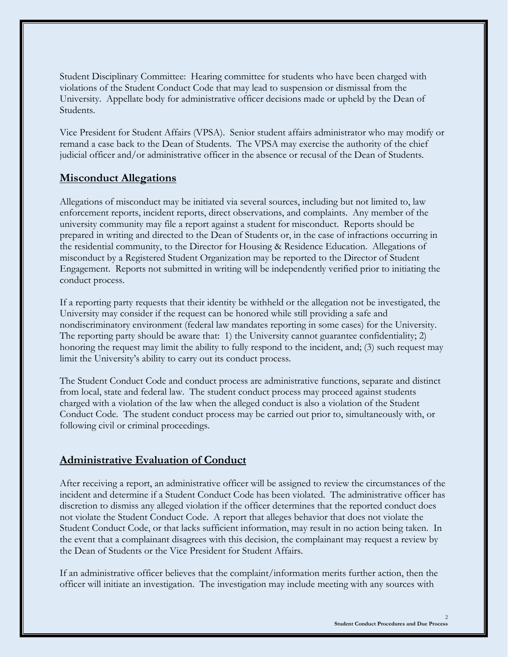Student Disciplinary Committee: Hearing committee for students who have been charged with violations of the Student Conduct Code that may lead to suspension or dismissal from the University. Appellate body for administrative officer decisions made or upheld by the Dean of Students.

Vice President for Student Affairs (VPSA). Senior student affairs administrator who may modify or remand a case back to the Dean of Students. The VPSA may exercise the authority of the chief judicial officer and/or administrative officer in the absence or recusal of the Dean of Students.

# **Misconduct Allegations**

Allegations of misconduct may be initiated via several sources, including but not limited to, law enforcement reports, incident reports, direct observations, and complaints. Any member of the university community may file a report against a student for misconduct. Reports should be prepared in writing and directed to the Dean of Students or, in the case of infractions occurring in the residential community, to the Director for Housing & Residence Education. Allegations of misconduct by a Registered Student Organization may be reported to the Director of Student Engagement. Reports not submitted in writing will be independently verified prior to initiating the conduct process.

If a reporting party requests that their identity be withheld or the allegation not be investigated, the University may consider if the request can be honored while still providing a safe and nondiscriminatory environment (federal law mandates reporting in some cases) for the University. The reporting party should be aware that: 1) the University cannot guarantee confidentiality; 2) honoring the request may limit the ability to fully respond to the incident, and; (3) such request may limit the University's ability to carry out its conduct process.

The Student Conduct Code and conduct process are administrative functions, separate and distinct from local, state and federal law. The student conduct process may proceed against students charged with a violation of the law when the alleged conduct is also a violation of the Student Conduct Code. The student conduct process may be carried out prior to, simultaneously with, or following civil or criminal proceedings.

# **Administrative Evaluation of Conduct**

After receiving a report, an administrative officer will be assigned to review the circumstances of the incident and determine if a Student Conduct Code has been violated. The administrative officer has discretion to dismiss any alleged violation if the officer determines that the reported conduct does not violate the Student Conduct Code. A report that alleges behavior that does not violate the Student Conduct Code, or that lacks sufficient information, may result in no action being taken. In the event that a complainant disagrees with this decision, the complainant may request a review by the Dean of Students or the Vice President for Student Affairs.

If an administrative officer believes that the complaint/information merits further action, then the officer will initiate an investigation. The investigation may include meeting with any sources with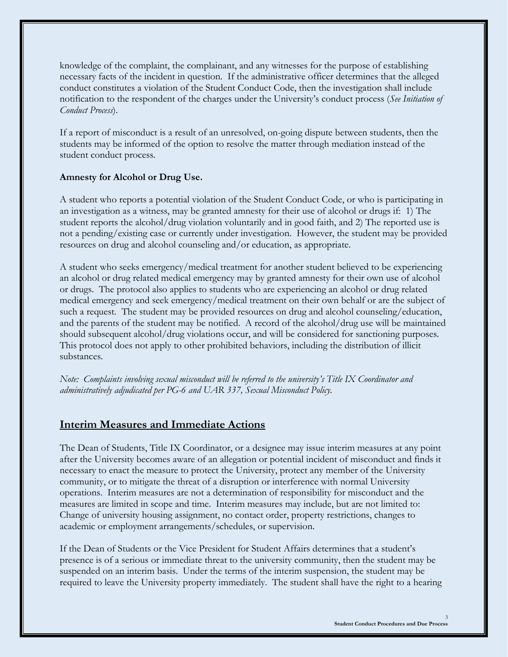knowledge of the complaint, the complainant, and any witnesses for the purpose of establishing necessary facts of the incident in question. If the administrative officer determines that the alleged conduct constitutes a violation of the Student Conduct Code, then the investigation shall include notification to the respondent of the charges under the University's conduct process (*See Initiation of Conduct Process*).

If a report of misconduct is a result of an unresolved, on-going dispute between students, then the students may be informed of the option to resolve the matter through mediation instead of the student conduct process.

# **Amnesty for Alcohol or Drug Use.**

A student who reports a potential violation of the Student Conduct Code, or who is participating in an investigation as a witness, may be granted amnesty for their use of alcohol or drugs if: 1) The student reports the alcohol/drug violation voluntarily and in good faith, and 2) The reported use is not a pending/existing case or currently under investigation. However, the student may be provided resources on drug and alcohol counseling and/or education, as appropriate.

A student who seeks emergency/medical treatment for another student believed to be experiencing an alcohol or drug related medical emergency may by granted amnesty for their own use of alcohol or drugs. The protocol also applies to students who are experiencing an alcohol or drug related medical emergency and seek emergency/medical treatment on their own behalf or are the subject of such a request. The student may be provided resources on drug and alcohol counseling/education, and the parents of the student may be notified. A record of the alcohol/drug use will be maintained should subsequent alcohol/drug violations occur, and will be considered for sanctioning purposes. This protocol does not apply to other prohibited behaviors, including the distribution of illicit substances.

*Note: Complaints involving sexual misconduct will be referred to the university's Title IX Coordinator and administratively adjudicated per PG-6 and UAR 337, Sexual Misconduct Policy.*

# **Interim Measures and Immediate Actions**

The Dean of Students, Title IX Coordinator, or a designee may issue interim measures at any point after the University becomes aware of an allegation or potential incident of misconduct and finds it necessary to enact the measure to protect the University, protect any member of the University community, or to mitigate the threat of a disruption or interference with normal University operations. Interim measures are not a determination of responsibility for misconduct and the measures are limited in scope and time. Interim measures may include, but are not limited to: Change of university housing assignment, no contact order, property restrictions, changes to academic or employment arrangements/schedules, or supervision.

If the Dean of Students or the Vice President for Student Affairs determines that a student's presence is of a serious or immediate threat to the university community, then the student may be suspended on an interim basis. Under the terms of the interim suspension, the student may be required to leave the University property immediately. The student shall have the right to a hearing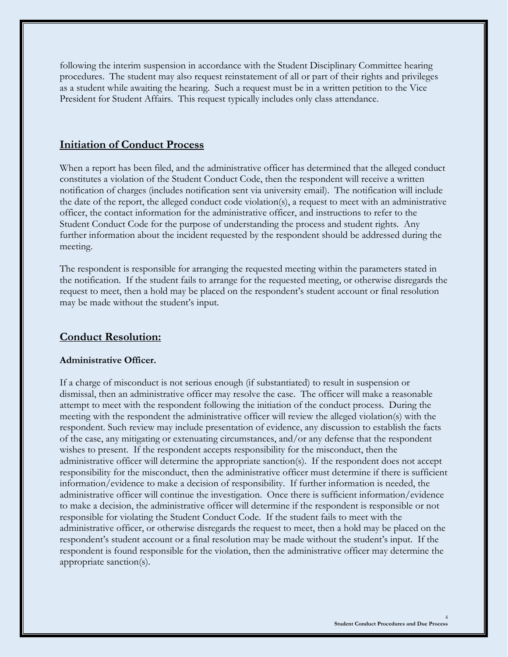following the interim suspension in accordance with the Student Disciplinary Committee hearing procedures. The student may also request reinstatement of all or part of their rights and privileges as a student while awaiting the hearing. Such a request must be in a written petition to the Vice President for Student Affairs. This request typically includes only class attendance.

# **Initiation of Conduct Process**

When a report has been filed, and the administrative officer has determined that the alleged conduct constitutes a violation of the Student Conduct Code, then the respondent will receive a written notification of charges (includes notification sent via university email). The notification will include the date of the report, the alleged conduct code violation(s), a request to meet with an administrative officer, the contact information for the administrative officer, and instructions to refer to the Student Conduct Code for the purpose of understanding the process and student rights. Any further information about the incident requested by the respondent should be addressed during the meeting.

The respondent is responsible for arranging the requested meeting within the parameters stated in the notification. If the student fails to arrange for the requested meeting, or otherwise disregards the request to meet, then a hold may be placed on the respondent's student account or final resolution may be made without the student's input.

# **Conduct Resolution:**

### **Administrative Officer.**

If a charge of misconduct is not serious enough (if substantiated) to result in suspension or dismissal, then an administrative officer may resolve the case. The officer will make a reasonable attempt to meet with the respondent following the initiation of the conduct process. During the meeting with the respondent the administrative officer will review the alleged violation(s) with the respondent. Such review may include presentation of evidence, any discussion to establish the facts of the case, any mitigating or extenuating circumstances, and/or any defense that the respondent wishes to present. If the respondent accepts responsibility for the misconduct, then the administrative officer will determine the appropriate sanction(s). If the respondent does not accept responsibility for the misconduct, then the administrative officer must determine if there is sufficient information/evidence to make a decision of responsibility. If further information is needed, the administrative officer will continue the investigation. Once there is sufficient information/evidence to make a decision, the administrative officer will determine if the respondent is responsible or not responsible for violating the Student Conduct Code. If the student fails to meet with the administrative officer, or otherwise disregards the request to meet, then a hold may be placed on the respondent's student account or a final resolution may be made without the student's input. If the respondent is found responsible for the violation, then the administrative officer may determine the appropriate sanction(s).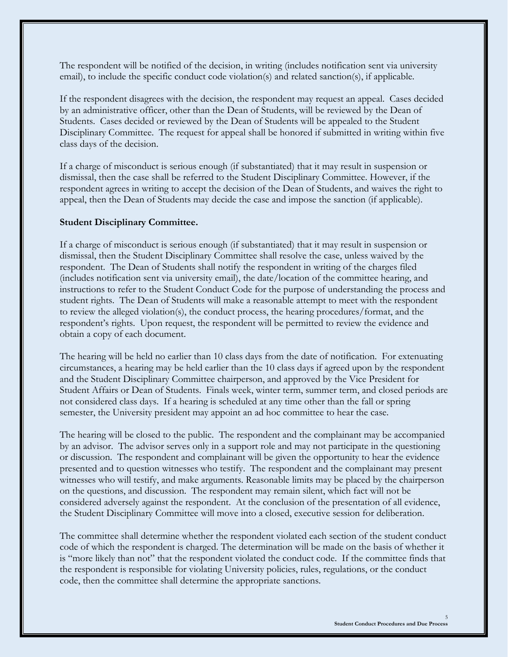The respondent will be notified of the decision, in writing (includes notification sent via university email), to include the specific conduct code violation(s) and related sanction(s), if applicable.

If the respondent disagrees with the decision, the respondent may request an appeal. Cases decided by an administrative officer, other than the Dean of Students, will be reviewed by the Dean of Students. Cases decided or reviewed by the Dean of Students will be appealed to the Student Disciplinary Committee. The request for appeal shall be honored if submitted in writing within five class days of the decision.

If a charge of misconduct is serious enough (if substantiated) that it may result in suspension or dismissal, then the case shall be referred to the Student Disciplinary Committee. However, if the respondent agrees in writing to accept the decision of the Dean of Students, and waives the right to appeal, then the Dean of Students may decide the case and impose the sanction (if applicable).

# **Student Disciplinary Committee.**

If a charge of misconduct is serious enough (if substantiated) that it may result in suspension or dismissal, then the Student Disciplinary Committee shall resolve the case, unless waived by the respondent. The Dean of Students shall notify the respondent in writing of the charges filed (includes notification sent via university email), the date/location of the committee hearing, and instructions to refer to the Student Conduct Code for the purpose of understanding the process and student rights. The Dean of Students will make a reasonable attempt to meet with the respondent to review the alleged violation(s), the conduct process, the hearing procedures/format, and the respondent's rights. Upon request, the respondent will be permitted to review the evidence and obtain a copy of each document.

The hearing will be held no earlier than 10 class days from the date of notification. For extenuating circumstances, a hearing may be held earlier than the 10 class days if agreed upon by the respondent and the Student Disciplinary Committee chairperson, and approved by the Vice President for Student Affairs or Dean of Students. Finals week, winter term, summer term, and closed periods are not considered class days. If a hearing is scheduled at any time other than the fall or spring semester, the University president may appoint an ad hoc committee to hear the case.

The hearing will be closed to the public. The respondent and the complainant may be accompanied by an advisor. The advisor serves only in a support role and may not participate in the questioning or discussion. The respondent and complainant will be given the opportunity to hear the evidence presented and to question witnesses who testify. The respondent and the complainant may present witnesses who will testify, and make arguments. Reasonable limits may be placed by the chairperson on the questions, and discussion. The respondent may remain silent, which fact will not be considered adversely against the respondent. At the conclusion of the presentation of all evidence, the Student Disciplinary Committee will move into a closed, executive session for deliberation.

The committee shall determine whether the respondent violated each section of the student conduct code of which the respondent is charged. The determination will be made on the basis of whether it is "more likely than not" that the respondent violated the conduct code. If the committee finds that the respondent is responsible for violating University policies, rules, regulations, or the conduct code, then the committee shall determine the appropriate sanctions.

5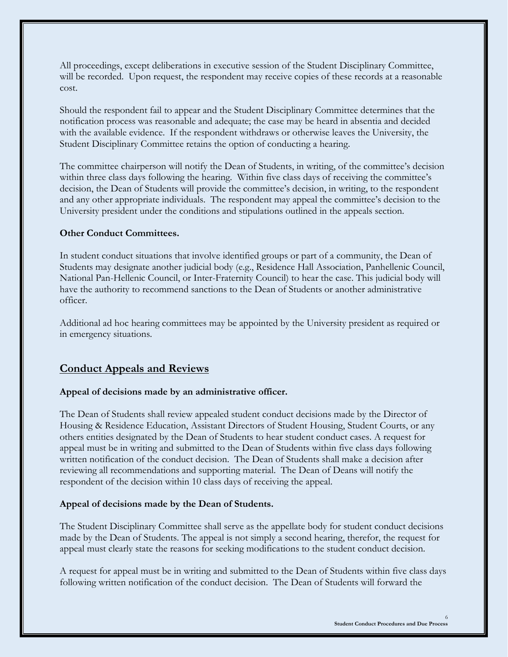All proceedings, except deliberations in executive session of the Student Disciplinary Committee, will be recorded. Upon request, the respondent may receive copies of these records at a reasonable cost.

Should the respondent fail to appear and the Student Disciplinary Committee determines that the notification process was reasonable and adequate; the case may be heard in absentia and decided with the available evidence. If the respondent withdraws or otherwise leaves the University, the Student Disciplinary Committee retains the option of conducting a hearing.

The committee chairperson will notify the Dean of Students, in writing, of the committee's decision within three class days following the hearing. Within five class days of receiving the committee's decision, the Dean of Students will provide the committee's decision, in writing, to the respondent and any other appropriate individuals. The respondent may appeal the committee's decision to the University president under the conditions and stipulations outlined in the appeals section.

# **Other Conduct Committees.**

In student conduct situations that involve identified groups or part of a community, the Dean of Students may designate another judicial body (e.g., Residence Hall Association, Panhellenic Council, National Pan-Hellenic Council, or Inter-Fraternity Council) to hear the case. This judicial body will have the authority to recommend sanctions to the Dean of Students or another administrative officer.

Additional ad hoc hearing committees may be appointed by the University president as required or in emergency situations.

# **Conduct Appeals and Reviews**

# **Appeal of decisions made by an administrative officer.**

The Dean of Students shall review appealed student conduct decisions made by the Director of Housing & Residence Education, Assistant Directors of Student Housing, Student Courts, or any others entities designated by the Dean of Students to hear student conduct cases. A request for appeal must be in writing and submitted to the Dean of Students within five class days following written notification of the conduct decision. The Dean of Students shall make a decision after reviewing all recommendations and supporting material. The Dean of Deans will notify the respondent of the decision within 10 class days of receiving the appeal.

# **Appeal of decisions made by the Dean of Students.**

The Student Disciplinary Committee shall serve as the appellate body for student conduct decisions made by the Dean of Students. The appeal is not simply a second hearing, therefor, the request for appeal must clearly state the reasons for seeking modifications to the student conduct decision.

A request for appeal must be in writing and submitted to the Dean of Students within five class days following written notification of the conduct decision. The Dean of Students will forward the

6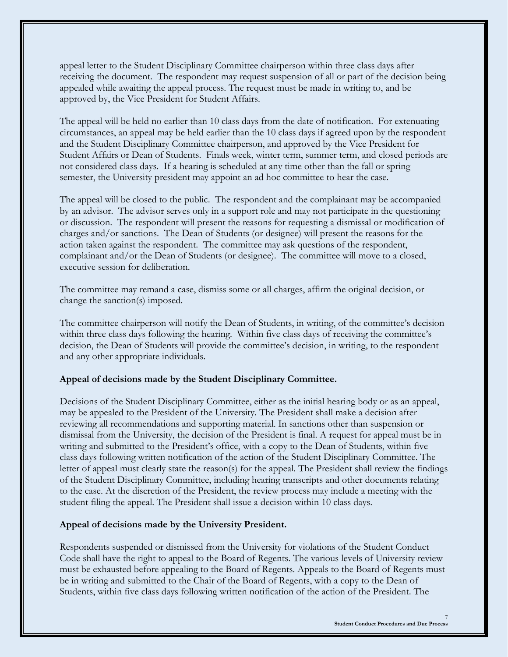appeal letter to the Student Disciplinary Committee chairperson within three class days after receiving the document. The respondent may request suspension of all or part of the decision being appealed while awaiting the appeal process. The request must be made in writing to, and be approved by, the Vice President for Student Affairs.

The appeal will be held no earlier than 10 class days from the date of notification. For extenuating circumstances, an appeal may be held earlier than the 10 class days if agreed upon by the respondent and the Student Disciplinary Committee chairperson, and approved by the Vice President for Student Affairs or Dean of Students. Finals week, winter term, summer term, and closed periods are not considered class days. If a hearing is scheduled at any time other than the fall or spring semester, the University president may appoint an ad hoc committee to hear the case.

The appeal will be closed to the public. The respondent and the complainant may be accompanied by an advisor. The advisor serves only in a support role and may not participate in the questioning or discussion. The respondent will present the reasons for requesting a dismissal or modification of charges and/or sanctions. The Dean of Students (or designee) will present the reasons for the action taken against the respondent. The committee may ask questions of the respondent, complainant and/or the Dean of Students (or designee). The committee will move to a closed, executive session for deliberation.

The committee may remand a case, dismiss some or all charges, affirm the original decision, or change the sanction(s) imposed.

The committee chairperson will notify the Dean of Students, in writing, of the committee's decision within three class days following the hearing. Within five class days of receiving the committee's decision, the Dean of Students will provide the committee's decision, in writing, to the respondent and any other appropriate individuals.

# **Appeal of decisions made by the Student Disciplinary Committee.**

Decisions of the Student Disciplinary Committee, either as the initial hearing body or as an appeal, may be appealed to the President of the University. The President shall make a decision after reviewing all recommendations and supporting material. In sanctions other than suspension or dismissal from the University, the decision of the President is final. A request for appeal must be in writing and submitted to the President's office, with a copy to the Dean of Students, within five class days following written notification of the action of the Student Disciplinary Committee. The letter of appeal must clearly state the reason(s) for the appeal. The President shall review the findings of the Student Disciplinary Committee, including hearing transcripts and other documents relating to the case. At the discretion of the President, the review process may include a meeting with the student filing the appeal. The President shall issue a decision within 10 class days.

# **Appeal of decisions made by the University President.**

Respondents suspended or dismissed from the University for violations of the Student Conduct Code shall have the right to appeal to the Board of Regents. The various levels of University review must be exhausted before appealing to the Board of Regents. Appeals to the Board of Regents must be in writing and submitted to the Chair of the Board of Regents, with a copy to the Dean of Students, within five class days following written notification of the action of the President. The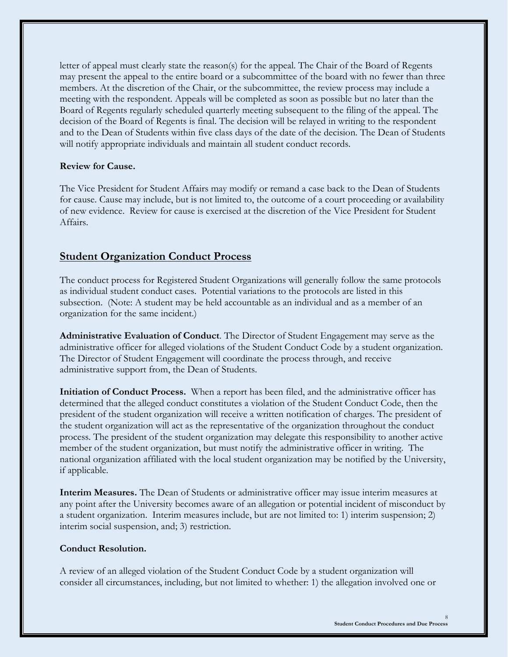letter of appeal must clearly state the reason(s) for the appeal. The Chair of the Board of Regents may present the appeal to the entire board or a subcommittee of the board with no fewer than three members. At the discretion of the Chair, or the subcommittee, the review process may include a meeting with the respondent. Appeals will be completed as soon as possible but no later than the Board of Regents regularly scheduled quarterly meeting subsequent to the filing of the appeal. The decision of the Board of Regents is final. The decision will be relayed in writing to the respondent and to the Dean of Students within five class days of the date of the decision. The Dean of Students will notify appropriate individuals and maintain all student conduct records.

# **Review for Cause.**

The Vice President for Student Affairs may modify or remand a case back to the Dean of Students for cause. Cause may include, but is not limited to, the outcome of a court proceeding or availability of new evidence. Review for cause is exercised at the discretion of the Vice President for Student Affairs.

# **Student Organization Conduct Process**

The conduct process for Registered Student Organizations will generally follow the same protocols as individual student conduct cases. Potential variations to the protocols are listed in this subsection. (Note: A student may be held accountable as an individual and as a member of an organization for the same incident.)

**Administrative Evaluation of Conduct**. The Director of Student Engagement may serve as the administrative officer for alleged violations of the Student Conduct Code by a student organization. The Director of Student Engagement will coordinate the process through, and receive administrative support from, the Dean of Students.

**Initiation of Conduct Process.** When a report has been filed, and the administrative officer has determined that the alleged conduct constitutes a violation of the Student Conduct Code, then the president of the student organization will receive a written notification of charges. The president of the student organization will act as the representative of the organization throughout the conduct process. The president of the student organization may delegate this responsibility to another active member of the student organization, but must notify the administrative officer in writing. The national organization affiliated with the local student organization may be notified by the University, if applicable.

**Interim Measures.** The Dean of Students or administrative officer may issue interim measures at any point after the University becomes aware of an allegation or potential incident of misconduct by a student organization. Interim measures include, but are not limited to: 1) interim suspension; 2) interim social suspension, and; 3) restriction.

# **Conduct Resolution.**

A review of an alleged violation of the Student Conduct Code by a student organization will consider all circumstances, including, but not limited to whether: 1) the allegation involved one or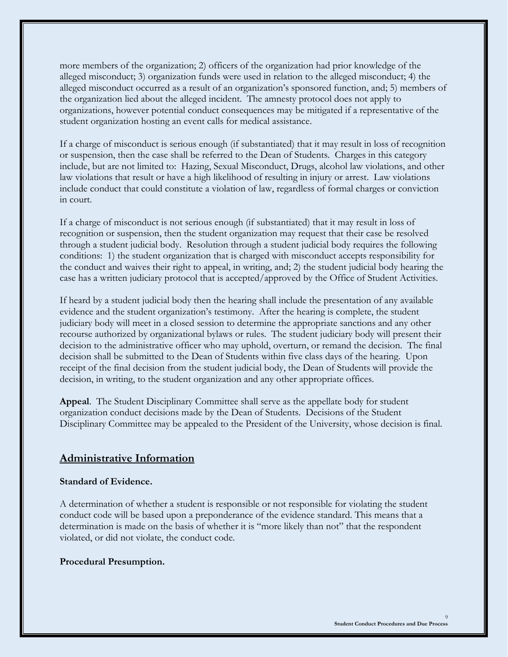more members of the organization; 2) officers of the organization had prior knowledge of the alleged misconduct; 3) organization funds were used in relation to the alleged misconduct; 4) the alleged misconduct occurred as a result of an organization's sponsored function, and; 5) members of the organization lied about the alleged incident. The amnesty protocol does not apply to organizations, however potential conduct consequences may be mitigated if a representative of the student organization hosting an event calls for medical assistance.

If a charge of misconduct is serious enough (if substantiated) that it may result in loss of recognition or suspension, then the case shall be referred to the Dean of Students. Charges in this category include, but are not limited to: Hazing, Sexual Misconduct, Drugs, alcohol law violations, and other law violations that result or have a high likelihood of resulting in injury or arrest. Law violations include conduct that could constitute a violation of law, regardless of formal charges or conviction in court.

If a charge of misconduct is not serious enough (if substantiated) that it may result in loss of recognition or suspension, then the student organization may request that their case be resolved through a student judicial body. Resolution through a student judicial body requires the following conditions: 1) the student organization that is charged with misconduct accepts responsibility for the conduct and waives their right to appeal, in writing, and; 2) the student judicial body hearing the case has a written judiciary protocol that is accepted/approved by the Office of Student Activities.

If heard by a student judicial body then the hearing shall include the presentation of any available evidence and the student organization's testimony. After the hearing is complete, the student judiciary body will meet in a closed session to determine the appropriate sanctions and any other recourse authorized by organizational bylaws or rules. The student judiciary body will present their decision to the administrative officer who may uphold, overturn, or remand the decision. The final decision shall be submitted to the Dean of Students within five class days of the hearing. Upon receipt of the final decision from the student judicial body, the Dean of Students will provide the decision, in writing, to the student organization and any other appropriate offices.

**Appeal**. The Student Disciplinary Committee shall serve as the appellate body for student organization conduct decisions made by the Dean of Students. Decisions of the Student Disciplinary Committee may be appealed to the President of the University, whose decision is final.

# **Administrative Information**

#### **Standard of Evidence.**

A determination of whether a student is responsible or not responsible for violating the student conduct code will be based upon a preponderance of the evidence standard. This means that a determination is made on the basis of whether it is "more likely than not" that the respondent violated, or did not violate, the conduct code.

#### **Procedural Presumption.**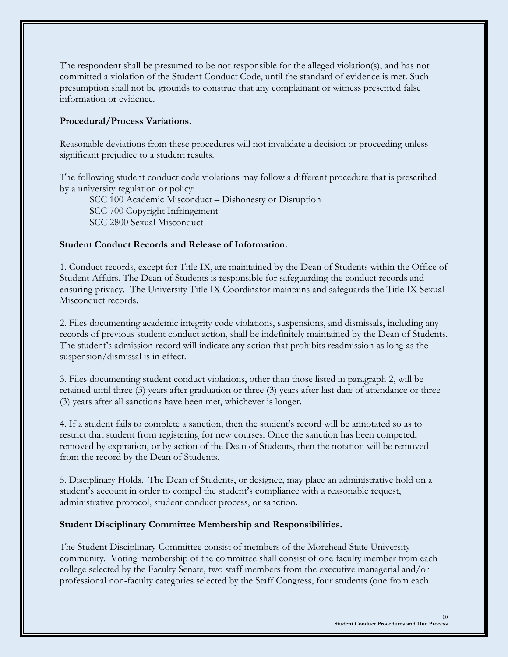The respondent shall be presumed to be not responsible for the alleged violation(s), and has not committed a violation of the Student Conduct Code, until the standard of evidence is met. Such presumption shall not be grounds to construe that any complainant or witness presented false information or evidence.

# **Procedural/Process Variations.**

Reasonable deviations from these procedures will not invalidate a decision or proceeding unless significant prejudice to a student results.

The following student conduct code violations may follow a different procedure that is prescribed by a university regulation or policy:

SCC 100 Academic Misconduct – Dishonesty or Disruption SCC 700 Copyright Infringement SCC 2800 Sexual Misconduct

# **Student Conduct Records and Release of Information.**

1. Conduct records, except for Title IX, are maintained by the Dean of Students within the Office of Student Affairs. The Dean of Students is responsible for safeguarding the conduct records and ensuring privacy. The University Title IX Coordinator maintains and safeguards the Title IX Sexual Misconduct records.

2. Files documenting academic integrity code violations, suspensions, and dismissals, including any records of previous student conduct action, shall be indefinitely maintained by the Dean of Students. The student's admission record will indicate any action that prohibits readmission as long as the suspension/dismissal is in effect.

3. Files documenting student conduct violations, other than those listed in paragraph 2, will be retained until three (3) years after graduation or three (3) years after last date of attendance or three (3) years after all sanctions have been met, whichever is longer.

4. If a student fails to complete a sanction, then the student's record will be annotated so as to restrict that student from registering for new courses. Once the sanction has been competed, removed by expiration, or by action of the Dean of Students, then the notation will be removed from the record by the Dean of Students.

5. Disciplinary Holds.The Dean of Students, or designee, may place an administrative hold on a student's account in order to compel the student's compliance with a reasonable request, administrative protocol, student conduct process, or sanction.

# **Student Disciplinary Committee Membership and Responsibilities.**

The Student Disciplinary Committee consist of members of the Morehead State University community. Voting membership of the committee shall consist of one faculty member from each college selected by the Faculty Senate, two staff members from the executive managerial and/or professional non-faculty categories selected by the Staff Congress, four students (one from each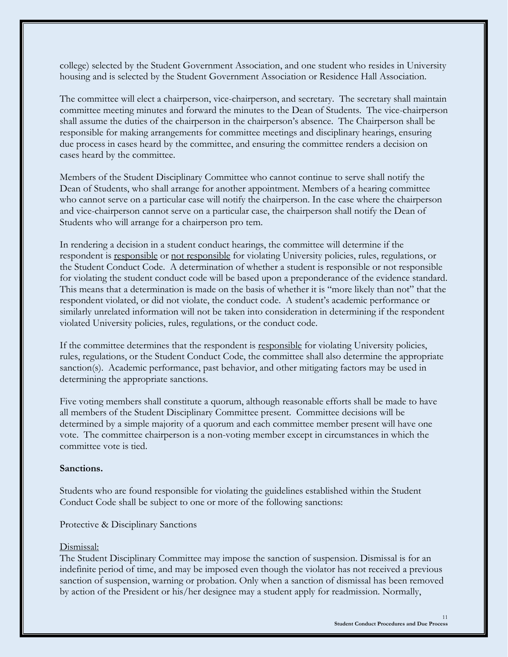college) selected by the Student Government Association, and one student who resides in University housing and is selected by the Student Government Association or Residence Hall Association.

The committee will elect a chairperson, vice-chairperson, and secretary. The secretary shall maintain committee meeting minutes and forward the minutes to the Dean of Students. The vice-chairperson shall assume the duties of the chairperson in the chairperson's absence. The Chairperson shall be responsible for making arrangements for committee meetings and disciplinary hearings, ensuring due process in cases heard by the committee, and ensuring the committee renders a decision on cases heard by the committee.

Members of the Student Disciplinary Committee who cannot continue to serve shall notify the Dean of Students, who shall arrange for another appointment. Members of a hearing committee who cannot serve on a particular case will notify the chairperson. In the case where the chairperson and vice-chairperson cannot serve on a particular case, the chairperson shall notify the Dean of Students who will arrange for a chairperson pro tem.

In rendering a decision in a student conduct hearings, the committee will determine if the respondent is responsible or not responsible for violating University policies, rules, regulations, or the Student Conduct Code. A determination of whether a student is responsible or not responsible for violating the student conduct code will be based upon a preponderance of the evidence standard. This means that a determination is made on the basis of whether it is "more likely than not" that the respondent violated, or did not violate, the conduct code. A student's academic performance or similarly unrelated information will not be taken into consideration in determining if the respondent violated University policies, rules, regulations, or the conduct code.

If the committee determines that the respondent is responsible for violating University policies, rules, regulations, or the Student Conduct Code, the committee shall also determine the appropriate sanction(s). Academic performance, past behavior, and other mitigating factors may be used in determining the appropriate sanctions.

Five voting members shall constitute a quorum, although reasonable efforts shall be made to have all members of the Student Disciplinary Committee present. Committee decisions will be determined by a simple majority of a quorum and each committee member present will have one vote. The committee chairperson is a non-voting member except in circumstances in which the committee vote is tied.

#### **Sanctions.**

Students who are found responsible for violating the guidelines established within the Student Conduct Code shall be subject to one or more of the following sanctions:

Protective & Disciplinary Sanctions

# Dismissal:

The Student Disciplinary Committee may impose the sanction of suspension. Dismissal is for an indefinite period of time, and may be imposed even though the violator has not received a previous sanction of suspension, warning or probation. Only when a sanction of dismissal has been removed by action of the President or his/her designee may a student apply for readmission. Normally,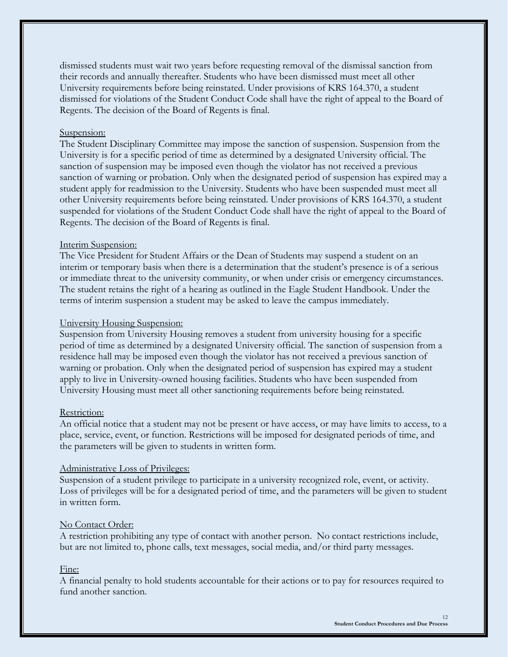dismissed students must wait two years before requesting removal of the dismissal sanction from their records and annually thereafter. Students who have been dismissed must meet all other University requirements before being reinstated. Under provisions of KRS 164.370, a student dismissed for violations of the Student Conduct Code shall have the right of appeal to the Board of Regents. The decision of the Board of Regents is final.

#### Suspension:

The Student Disciplinary Committee may impose the sanction of suspension. Suspension from the University is for a specific period of time as determined by a designated University official. The sanction of suspension may be imposed even though the violator has not received a previous sanction of warning or probation. Only when the designated period of suspension has expired may a student apply for readmission to the University. Students who have been suspended must meet all other University requirements before being reinstated. Under provisions of KRS 164.370, a student suspended for violations of the Student Conduct Code shall have the right of appeal to the Board of Regents. The decision of the Board of Regents is final.

#### Interim Suspension:

The Vice President for Student Affairs or the Dean of Students may suspend a student on an interim or temporary basis when there is a determination that the student's presence is of a serious or immediate threat to the university community, or when under crisis or emergency circumstances. The student retains the right of a hearing as outlined in the Eagle Student Handbook. Under the terms of interim suspension a student may be asked to leave the campus immediately.

#### University Housing Suspension:

Suspension from University Housing removes a student from university housing for a specific period of time as determined by a designated University official. The sanction of suspension from a residence hall may be imposed even though the violator has not received a previous sanction of warning or probation. Only when the designated period of suspension has expired may a student apply to live in University-owned housing facilities. Students who have been suspended from University Housing must meet all other sanctioning requirements before being reinstated.

#### Restriction:

An official notice that a student may not be present or have access, or may have limits to access, to a place, service, event, or function. Restrictions will be imposed for designated periods of time, and the parameters will be given to students in written form.

#### Administrative Loss of Privileges:

Suspension of a student privilege to participate in a university recognized role, event, or activity. Loss of privileges will be for a designated period of time, and the parameters will be given to student in written form.

#### No Contact Order:

A restriction prohibiting any type of contact with another person. No contact restrictions include, but are not limited to, phone calls, text messages, social media, and/or third party messages.

# Fine:

A financial penalty to hold students accountable for their actions or to pay for resources required to fund another sanction.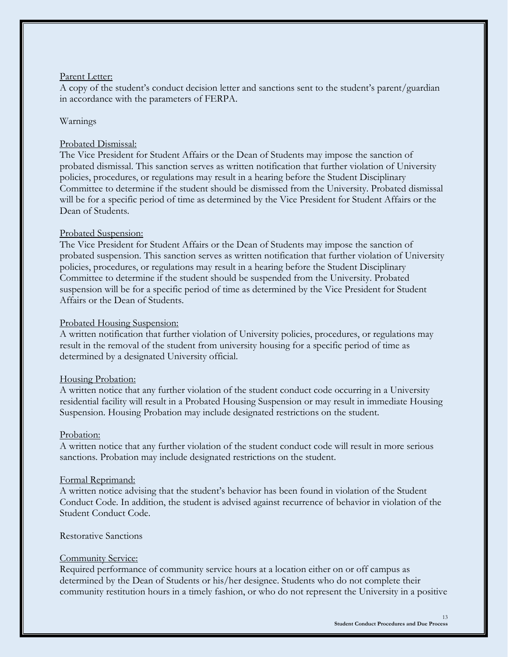### Parent Letter:

A copy of the student's conduct decision letter and sanctions sent to the student's parent/guardian in accordance with the parameters of FERPA.

#### Warnings

#### Probated Dismissal:

The Vice President for Student Affairs or the Dean of Students may impose the sanction of probated dismissal. This sanction serves as written notification that further violation of University policies, procedures, or regulations may result in a hearing before the Student Disciplinary Committee to determine if the student should be dismissed from the University. Probated dismissal will be for a specific period of time as determined by the Vice President for Student Affairs or the Dean of Students.

#### Probated Suspension:

The Vice President for Student Affairs or the Dean of Students may impose the sanction of probated suspension. This sanction serves as written notification that further violation of University policies, procedures, or regulations may result in a hearing before the Student Disciplinary Committee to determine if the student should be suspended from the University. Probated suspension will be for a specific period of time as determined by the Vice President for Student Affairs or the Dean of Students.

#### Probated Housing Suspension:

A written notification that further violation of University policies, procedures, or regulations may result in the removal of the student from university housing for a specific period of time as determined by a designated University official.

#### Housing Probation:

A written notice that any further violation of the student conduct code occurring in a University residential facility will result in a Probated Housing Suspension or may result in immediate Housing Suspension. Housing Probation may include designated restrictions on the student.

#### Probation:

A written notice that any further violation of the student conduct code will result in more serious sanctions. Probation may include designated restrictions on the student.

#### Formal Reprimand:

A written notice advising that the student's behavior has been found in violation of the Student Conduct Code. In addition, the student is advised against recurrence of behavior in violation of the Student Conduct Code.

# Restorative Sanctions

#### Community Service:

Required performance of community service hours at a location either on or off campus as determined by the Dean of Students or his/her designee. Students who do not complete their community restitution hours in a timely fashion, or who do not represent the University in a positive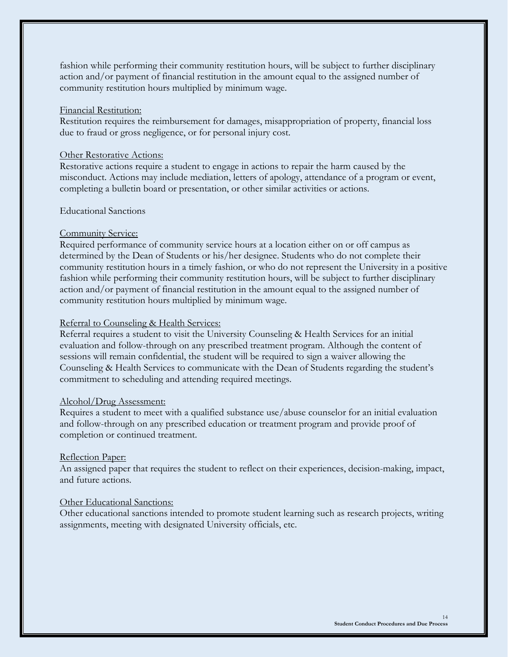fashion while performing their community restitution hours, will be subject to further disciplinary action and/or payment of financial restitution in the amount equal to the assigned number of community restitution hours multiplied by minimum wage.

#### Financial Restitution:

Restitution requires the reimbursement for damages, misappropriation of property, financial loss due to fraud or gross negligence, or for personal injury cost.

### Other Restorative Actions:

Restorative actions require a student to engage in actions to repair the harm caused by the misconduct. Actions may include mediation, letters of apology, attendance of a program or event, completing a bulletin board or presentation, or other similar activities or actions.

### Educational Sanctions

# Community Service:

Required performance of community service hours at a location either on or off campus as determined by the Dean of Students or his/her designee. Students who do not complete their community restitution hours in a timely fashion, or who do not represent the University in a positive fashion while performing their community restitution hours, will be subject to further disciplinary action and/or payment of financial restitution in the amount equal to the assigned number of community restitution hours multiplied by minimum wage.

# Referral to Counseling & Health Services:

Referral requires a student to visit the University Counseling & Health Services for an initial evaluation and follow-through on any prescribed treatment program. Although the content of sessions will remain confidential, the student will be required to sign a waiver allowing the Counseling & Health Services to communicate with the Dean of Students regarding the student's commitment to scheduling and attending required meetings.

# Alcohol/Drug Assessment:

Requires a student to meet with a qualified substance use/abuse counselor for an initial evaluation and follow-through on any prescribed education or treatment program and provide proof of completion or continued treatment.

# Reflection Paper:

An assigned paper that requires the student to reflect on their experiences, decision-making, impact, and future actions.

# Other Educational Sanctions:

Other educational sanctions intended to promote student learning such as research projects, writing assignments, meeting with designated University officials, etc.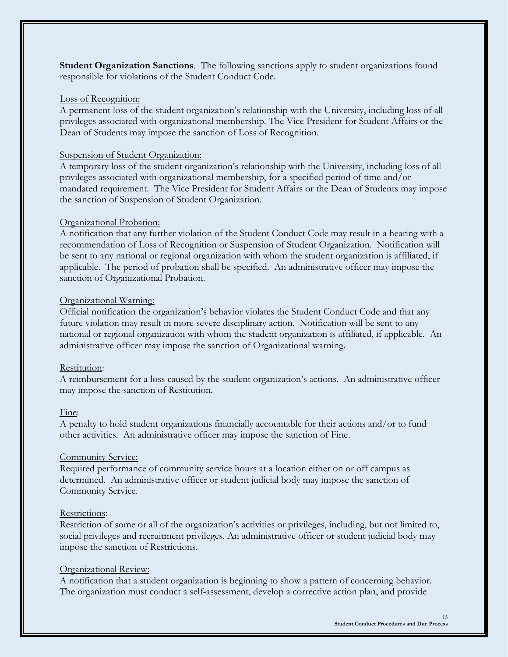**Student Organization Sanctions**. The following sanctions apply to student organizations found responsible for violations of the Student Conduct Code.

#### Loss of Recognition:

A permanent loss of the student organization's relationship with the University, including loss of all privileges associated with organizational membership. The Vice President for Student Affairs or the Dean of Students may impose the sanction of Loss of Recognition.

#### Suspension of Student Organization:

A temporary loss of the student organization's relationship with the University, including loss of all privileges associated with organizational membership, for a specified period of time and/or mandated requirement. The Vice President for Student Affairs or the Dean of Students may impose the sanction of Suspension of Student Organization.

#### Organizational Probation:

A notification that any further violation of the Student Conduct Code may result in a hearing with a recommendation of Loss of Recognition or Suspension of Student Organization. Notification will be sent to any national or regional organization with whom the student organization is affiliated, if applicable. The period of probation shall be specified. An administrative officer may impose the sanction of Organizational Probation.

#### Organizational Warning:

Official notification the organization's behavior violates the Student Conduct Code and that any future violation may result in more severe disciplinary action. Notification will be sent to any national or regional organization with whom the student organization is affiliated, if applicable. An administrative officer may impose the sanction of Organizational warning.

#### Restitution:

A reimbursement for a loss caused by the student organization's actions. An administrative officer may impose the sanction of Restitution.

#### Fine:

A penalty to hold student organizations financially accountable for their actions and/or to fund other activities. An administrative officer may impose the sanction of Fine.

#### Community Service:

Required performance of community service hours at a location either on or off campus as determined. An administrative officer or student judicial body may impose the sanction of Community Service.

#### Restrictions:

Restriction of some or all of the organization's activities or privileges, including, but not limited to, social privileges and recruitment privileges. An administrative officer or student judicial body may impose the sanction of Restrictions.

#### Organizational Review:

A notification that a student organization is beginning to show a pattern of concerning behavior. The organization must conduct a self-assessment, develop a corrective action plan, and provide